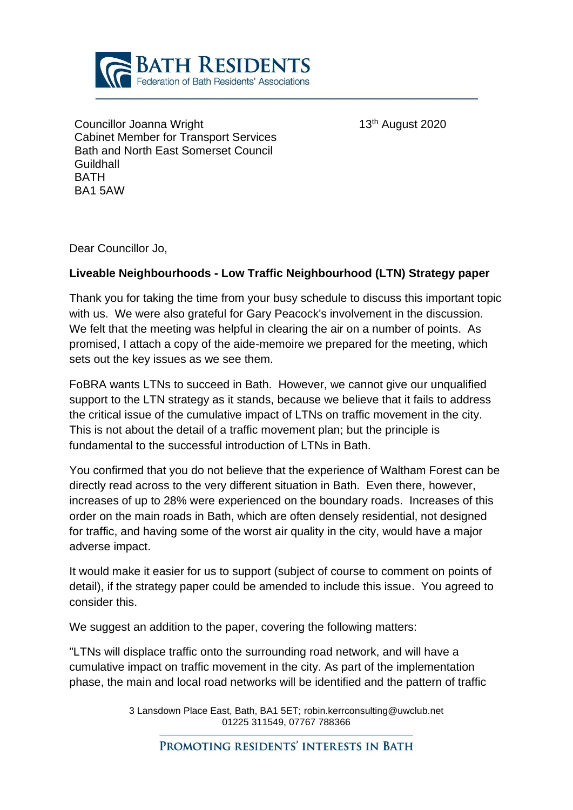

Councillor Joanna Wright 13th August 2020 Cabinet Member for Transport Services Bath and North East Somerset Council **Guildhall BATH** BA1 5AW

Dear Councillor Jo,

## **Liveable Neighbourhoods - Low Traffic Neighbourhood (LTN) Strategy paper**

Thank you for taking the time from your busy schedule to discuss this important topic with us. We were also grateful for Gary Peacock's involvement in the discussion. We felt that the meeting was helpful in clearing the air on a number of points. As promised, I attach a copy of the aide-memoire we prepared for the meeting, which sets out the key issues as we see them.

FoBRA wants LTNs to succeed in Bath. However, we cannot give our unqualified support to the LTN strategy as it stands, because we believe that it fails to address the critical issue of the cumulative impact of LTNs on traffic movement in the city. This is not about the detail of a traffic movement plan; but the principle is fundamental to the successful introduction of LTNs in Bath.

You confirmed that you do not believe that the experience of Waltham Forest can be directly read across to the very different situation in Bath. Even there, however, increases of up to 28% were experienced on the boundary roads. Increases of this order on the main roads in Bath, which are often densely residential, not designed for traffic, and having some of the worst air quality in the city, would have a major adverse impact.

It would make it easier for us to support (subject of course to comment on points of detail), if the strategy paper could be amended to include this issue. You agreed to consider this.

We suggest an addition to the paper, covering the following matters:

"LTNs will displace traffic onto the surrounding road network, and will have a cumulative impact on traffic movement in the city. As part of the implementation phase, the main and local road networks will be identified and the pattern of traffic

> 3 Lansdown Place East, Bath, BA1 5ET; robin.kerrconsulting@uwclub.net 01225 311549, 07767 788366